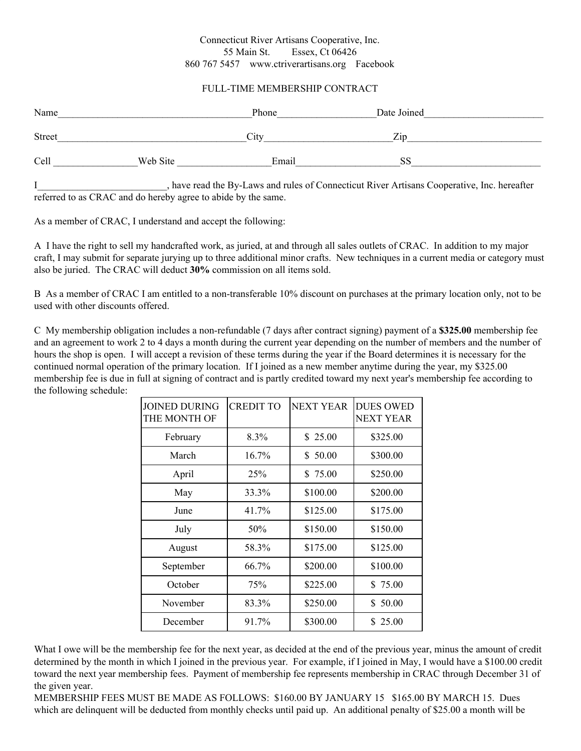## Connecticut River Artisans Cooperative, Inc. 55 Main St. Essex, Ct 06426 860 767 5457 [www.ctriverartisans.org](http://www.ctriverartisans.com/) Facebook

## FULL-TIME MEMBERSHIP CONTRACT

| Name   |          | Phone | Date Joined |
|--------|----------|-------|-------------|
| Street |          | City  | Zip         |
| Cell   | Web Site | Email | SS          |

I have read the By-Laws and rules of Connecticut River Artisans Cooperative, Inc. hereafter referred to as CRAC and do hereby agree to abide by the same.

As a member of CRAC, I understand and accept the following:

A I have the right to sell my handcrafted work, as juried, at and through all sales outlets of CRAC. In addition to my major craft, I may submit for separate jurying up to three additional minor crafts. New techniques in a current media or category must also be juried. The CRAC will deduct **30%** commission on all items sold.

B As a member of CRAC I am entitled to a non-transferable 10% discount on purchases at the primary location only, not to be used with other discounts offered.

C My membership obligation includes a non-refundable (7 days after contract signing) payment of a **\$325.00** membership fee and an agreement to work 2 to 4 days a month during the current year depending on the number of members and the number of hours the shop is open. I will accept a revision of these terms during the year if the Board determines it is necessary for the continued normal operation of the primary location. If I joined as a new member anytime during the year, my \$325.00 membership fee is due in full at signing of contract and is partly credited toward my next year's membership fee according to the following schedule:

| <b>JOINED DURING</b><br>THE MONTH OF | <b>CREDIT TO</b> | <b>NEXT YEAR</b> | <b>DUES OWED</b><br><b>NEXT YEAR</b> |
|--------------------------------------|------------------|------------------|--------------------------------------|
| February                             | 8.3%             | \$25.00          | \$325.00                             |
| March                                | $16.7\%$         | \$50.00          | \$300.00                             |
| April                                | 25%              | \$75.00          | \$250.00                             |
| May                                  | 33.3%            | \$100.00         | \$200.00                             |
| June                                 | 41.7%            | \$125.00         | \$175.00                             |
| July                                 | 50%              | \$150.00         | \$150.00                             |
| August                               | 58.3%            | \$175.00         | \$125.00                             |
| September                            | 66.7%            | \$200.00         | \$100.00                             |
| October                              | 75%              | \$225.00         | \$75.00                              |
| November                             | 83.3%            | \$250.00         | \$50.00                              |
| December                             | 91.7%            | \$300.00         | \$ 25.00                             |

What I owe will be the membership fee for the next year, as decided at the end of the previous year, minus the amount of credit determined by the month in which I joined in the previous year. For example, if I joined in May, I would have a \$100.00 credit toward the next year membership fees. Payment of membership fee represents membership in CRAC through December 31 of the given year.

MEMBERSHIP FEES MUST BE MADE AS FOLLOWS: \$160.00 BY JANUARY 15 \$165.00 BY MARCH 15. Dues which are delinquent will be deducted from monthly checks until paid up. An additional penalty of \$25.00 a month will be